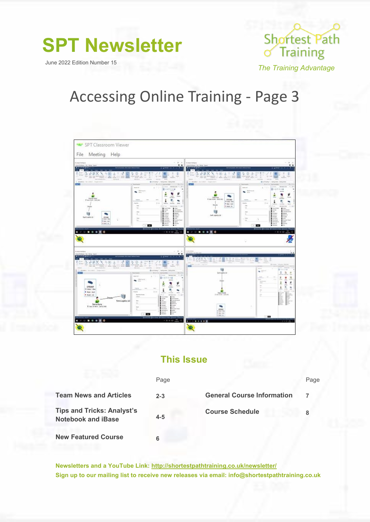**SPT Newsletter**

June 2022 Edition Number 15



*The Training Advantage*

# Accessing Online Training - Page 3



### **This Issue**

|                                                                | Page    |                                   | Page |
|----------------------------------------------------------------|---------|-----------------------------------|------|
| <b>Team News and Articles</b>                                  | $2 - 3$ | <b>General Course Information</b> |      |
| <b>Tips and Tricks: Analyst's</b><br><b>Notebook and iBase</b> | $4 - 5$ | <b>Course Schedule</b>            |      |
| <b>New Featured Course</b>                                     |         |                                   |      |

**Newsletters and a YouTube Link: http://shortestpathtraining.co.uk/newsletter/ Sign up to our mailing list to receive new releases via email: info@shortestpathtraining.co.uk**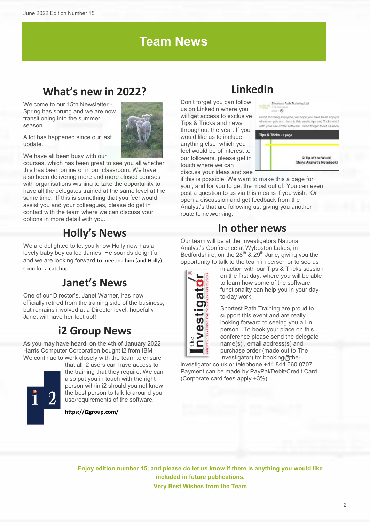## **Team News**

## **What's new in 2022?**

Welcome to our 15th Newsletter Spring has sprung and we are now transitioning into the summer season.



A lot has happened since our last update.

We have all been busy with our

courses, which has been great to see you all whether this has been online or in our classroom. We have also been delivering more and more closed courses with organisations wishing to take the opportunity to have all the delegates trained at the same level at the same time. If this is something that you feel would assist you and your colleagues, please do get in contact with the team where we can discuss your options in more detail with you.

### **Holly's News**

We are delighted to let you know Holly now has a lovely baby boy called James. He sounds delightful and we are looking forward to meeting him (and Holly) soon for a catchup.

### **Janet's News**

One of our Director's, Janet Warner, has now officially retired from the training side of the business, but remains involved at a Director level, hopefully Janet will have her feet up!!

### **i2 Group News**

As you may have heard, on the 4th of January 2022 Harris Computer Corporation bought i2 from IBM. We continue to work closely with the team to ensure



that all i2 users can have access to the training that they require. We can also put you in touch with the right person within i2 should you not know the best person to talk to around your use/requirements of the software.

**<https://i2group.com/>**

## **LinkedIn**

Don't forget you can follow us on Linkedin where you will get access to exclusive Tips & Tricks and news throughout the year. If you would like us to include anything else which you feel would be of interest to our followers, please get in touch where we can discuss your ideas and see



Shortest Path Training Ltd.

if this is possible. We want to make this a page for you , and for you to get the most out of. You can even post a question to us via this means if you wish. Or open a discussion and get feedback from the Analyst's that are following us, giving you another route to networking.

### **In other news**

Our team will be at the Investigators National Analyst's Conference at Wyboston Lakes, in Bedfordshire, on the  $28^{th}$  &  $29^{th}$  June, giving you the opportunity to talk to the team in person or to see us



in action with our Tips & Tricks session on the first day, where you will be able to learn how some of the software functionality can help you in your dayto-day work.

Shortest Path Training are proud to support this event and are really looking forward to seeing you all in person. To book your place on this conference please send the delegate name(s) , email address(s) and purchase order (made out to The Investigator) to: booking@the-

investigator.co.uk or telephone +44 844 660 8707 Payment can be made by PayPal/Debit/Credit Card (Corporate card fees apply +3%).

**Enjoy edition number 15, and please do let us know if there is anything you would like included in future publications. Very Best Wishes from the Team**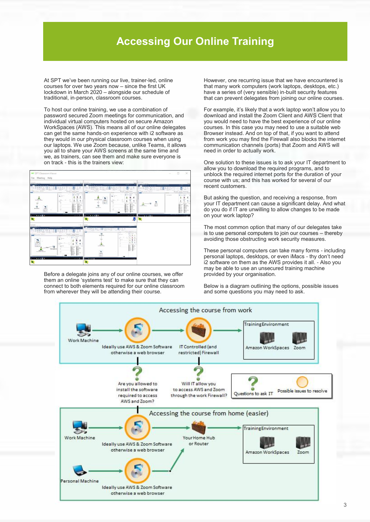### **Accessing Our Online Training**

At SPT we've been running our live, trainer-led, online courses for over two years now – since the first UK lockdown in March 2020 – alongside our schedule of traditional, in-person, classroom courses.

To host our online training, we use a combination of password secured Zoom meetings for communication, and individual virtual computers hosted on secure Amazon WorkSpaces (AWS). This means all of our online delegates can get the same hands-on experience with i2 software as they would in our physical classroom courses when using our laptops. We use Zoom because, unlike Teams, it allows you all to share your AWS screens at the same time and we, as trainers, can see them and make sure everyone is on track - this is the trainers view:



Before a delegate joins any of our online courses, we offer them an online 'systems test' to make sure that they can connect to both elements required for our online classroom from wherever they will be attending their course.

However, one recurring issue that we have encountered is that many work computers (work laptops, desktops, etc.) have a series of (very sensible) in-built security features that can prevent delegates from joining our online courses.

For example, it's likely that a work laptop won't allow you to download and install the Zoom Client and AWS Client that you would need to have the best experience of our online courses. In this case you may need to use a suitable web Browser instead. And on top of that, if you want to attend from work you may find the Firewall also blocks the internet communication channels (ports) that Zoom and AWS will need in order to actually work.

One solution to these issues is to ask your IT department to allow you to download the required programs, and to unblock the required internet ports for the duration of your course with us; and this has worked for several of our recent customers.

But asking the question, and receiving a response, from your IT department can cause a significant delay. And what do you do if IT are unwilling to allow changes to be made on your work laptop?

The most common option that many of our delegates take is to use personal computers to join our courses – thereby avoiding those obstructing work security measures.

These personal computers can take many forms - including personal laptops, desktops, or even iMacs - thy don't need i2 software on them as the AWS provides it all. - Also you may be able to use an unsecured training machine provided by your organisation.

Below is a diagram outlining the options, possible issues and some questions you may need to ask.

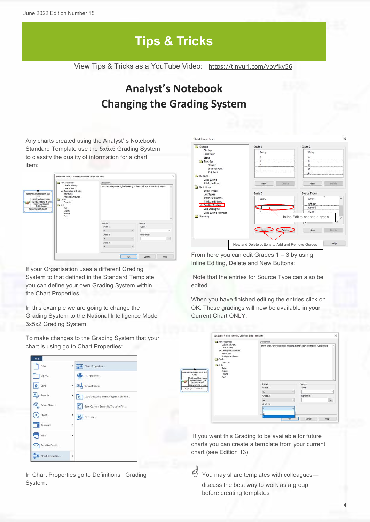# **Tips & Tricks**

View Tips & Tricks as a YouTube Video: <https://tinyurl.com/ybvfkv56>

## **Analyst's Notebook Changing the Grading System**

Any charts created using the Analyst' s Notebook Standard Template use the 5x5x5 Grading System to classify the quality of information for a chart item:

| ten Properties                                                                                                                                                                                                                                                                                                                           |  | Description:                                                                                         |                      |
|------------------------------------------------------------------------------------------------------------------------------------------------------------------------------------------------------------------------------------------------------------------------------------------------------------------------------------------|--|------------------------------------------------------------------------------------------------------|----------------------|
| Label & Identity<br>Date & Time<br>P Description & Grades<br>Meeting between Smith and<br>Attributes<br>Grey.<br>Analysis Attributes<br>Smith and Grey were<br>Cards<br>sighted meeting at the<br>Card List<br>Coach and Horses<br><b>Call Style</b><br>Public House<br>Type:<br>01/01/2021 20:00:00<br>Display<br>Picture<br>Fort<br>88 |  | Smith and Grey were sighted meeting at the Coach and Horses Public House<br>$\overline{\phantom{a}}$ |                      |
|                                                                                                                                                                                                                                                                                                                                          |  | Grades<br>Grade 11                                                                                   | Source               |
|                                                                                                                                                                                                                                                                                                                                          |  | B                                                                                                    | Type:<br>$\sim$      |
|                                                                                                                                                                                                                                                                                                                                          |  | Grade 2:                                                                                             | $\sim$<br>Reference: |
|                                                                                                                                                                                                                                                                                                                                          |  |                                                                                                      |                      |
|                                                                                                                                                                                                                                                                                                                                          |  | $\overline{z}$                                                                                       | $\sim$<br>in a       |
|                                                                                                                                                                                                                                                                                                                                          |  | Grade 3:                                                                                             |                      |
|                                                                                                                                                                                                                                                                                                                                          |  | 4                                                                                                    | $\sim$               |

If your Organisation uses a different Grading System to that defined in the Standard Template, you can define your own Grading System within the Chart Properties.

In this example we are going to change the Grading System to the National Intelligence Model 3x5x2 Grading System.

To make changes to the Grading System that your chart is using go to Chart Properties:



In Chart Properties go to Definitions | Grading System.

| Options                        | Grade 1              | Grade 2                                                        |
|--------------------------------|----------------------|----------------------------------------------------------------|
| Display                        | Entry                | Entry                                                          |
| Behaviour                      |                      |                                                                |
| Icons                          |                      |                                                                |
| Time Bar                       | 2                    | B                                                              |
| Display                        | 3                    | с                                                              |
| Interval Font                  |                      | D                                                              |
| <b>Tick Font</b>               |                      | E                                                              |
| <b>Defaults</b><br>Date & Time |                      |                                                                |
| Attribute Font                 | Delete<br>New        | Delete<br>New                                                  |
| Definitions                    |                      |                                                                |
| <b>Entity Types</b>            |                      |                                                                |
| Link Types                     | Grade 3              | Source Types                                                   |
| Attribute Classes              |                      | ×                                                              |
| <b>Attribute Entries</b>       | Entry                | Entry                                                          |
| Grading System                 |                      | Officer                                                        |
| Line Strengths                 | GIC                  | Record                                                         |
| Date & Time Formats            |                      | Victim                                                         |
| Summary                        | Delete<br><b>New</b> | Inline Edit to change a grade<br><b>STATE</b><br>Delete<br>New |

From here you can edit Grades  $1 - 3$  by using Inline Editing, Delete and New Buttons:

Note that the entries for Source Type can also be edited.

When you have finished editing the entries click on OK. These gradings will now be available in your Current Chart ONLY.

|                                                                                                                                                                                                                                                                | Item Properbes         | Description:                                                             |              |  |  |  |
|----------------------------------------------------------------------------------------------------------------------------------------------------------------------------------------------------------------------------------------------------------------|------------------------|--------------------------------------------------------------------------|--------------|--|--|--|
| Label & Identity<br>Date & Time<br>Attributes<br>Analysis Attributes<br>Cards<br>Card List<br>Style<br>Type<br>Display<br>ng between Smith and<br>Picture<br>Grey<br>Font<br>Smith and Grey were<br>sighted meeting at<br>the Coach and<br>Horses Public House | + Description & Grades | Smith and Grey were sighted meeting at the Coach and Horses Public House | ×            |  |  |  |
|                                                                                                                                                                                                                                                                |                        | Grades                                                                   | Source       |  |  |  |
| /01/2021 20:00:00                                                                                                                                                                                                                                              |                        | Grade 1:                                                                 | Type:        |  |  |  |
|                                                                                                                                                                                                                                                                |                        | $\omega$<br>$\mathbf{1}$                                                 | $\checkmark$ |  |  |  |
|                                                                                                                                                                                                                                                                |                        | Grade 2:                                                                 | Reference:   |  |  |  |
|                                                                                                                                                                                                                                                                |                        | v.<br>A                                                                  | 100          |  |  |  |
|                                                                                                                                                                                                                                                                |                        | Grade 3:                                                                 |              |  |  |  |
|                                                                                                                                                                                                                                                                |                        | $\checkmark$                                                             |              |  |  |  |
|                                                                                                                                                                                                                                                                |                        |                                                                          |              |  |  |  |

If you want this Grading to be available for future charts you can create a template from your current chart (see Edition 13).

 $\overset{\text{\tiny{(4)}}}{\longrightarrow}$  You may share templates with colleagues discuss the best way to work as a group before creating templates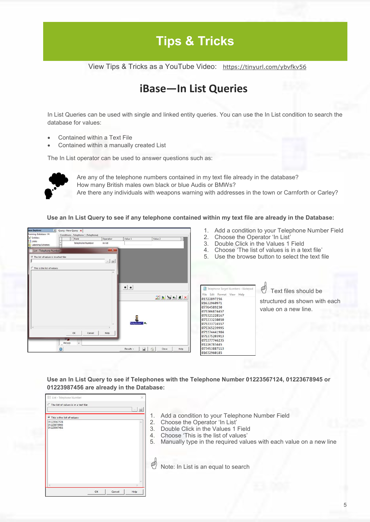# **Tips & Tricks**

View Tips & Tricks as a YouTube Video: <https://tinyurl.com/ybvfkv56>

### **iBase—In List Queries**

In List Queries can be used with single and linked entity queries. You can use the In List condition to search the database for values:

- Contained within a Text File
- Contained within a manually created List

The In List operator can be used to answer questions such as:



Are any of the telephone numbers contained in my text file already in the database? How many British males own black or blue Audis or BMWs? Are there any individuals with weapons warning with addresses in the town or Carnforth or Carley?

**Use an In List Query to see if any telephone contained within my text file are already in the Database:**



- 1. Add a condition to your Telephone Number Field
- 2. Choose the Operator 'In List'
- 3. Double Click in the Values 1 Field
- 4. Choose 'The list of values is in a text file'
- 5. Use the browse button to select the text file

|      |             |                       | Telephone Target Numbers - Notepad |
|------|-------------|-----------------------|------------------------------------|
| File |             | Edit Format View Help |                                    |
|      | 01322897256 |                       |                                    |
|      | 01632960971 |                       |                                    |
|      | 07764589230 |                       |                                    |
|      |             | 075306874457          |                                    |
|      |             | 075321228167          |                                    |
|      |             | 075333238050          |                                    |
|      |             | 075333716557          |                                    |
|      |             | 075365239995          |                                    |
|      |             | 075374441984          |                                    |
|      |             | 075375203913          |                                    |
|      |             | 075377746235          |                                    |
|      | 01226783445 |                       |                                    |
|      |             | 077453887113          |                                    |

 Text files should be structured as shown with each value on a new line.

**Use an In List Query to see if Telephones with the Telephone Number 01223567124, 01223678945 or 01223987456 are already in the Database:**

| <b>G</b> This is the list of values:      |  |  |
|-------------------------------------------|--|--|
| 01223567124<br>01223678945<br>01223987456 |  |  |

1. Add a condition to your Telephone Number Field

01632960185

- 2. Choose the Operator 'In List'
- 3. Double Click in the Values 1 Field
- 4. Choose 'This is the list of values'
- 5. Manually type in the required values with each value on a new line

Note: In List is an equal to search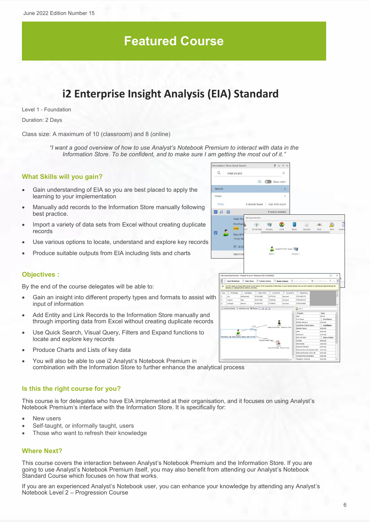## **Featured Course**

## **i2 Enterprise Insight Analysis (EIA) Standard**

Level 1 - Foundation

Duration: 2 Days

Class size: A maximum of 10 (classroom) and 8 (online)

*"I want a good overview of how to use Analyst's Notebook Premium to interact with data in the Information Store. To be confident, and to make sure I am getting the most out of it."*

#### **What Skills will you gain?**

- Gain understanding of EIA so you are best placed to apply the learning to your implementation
- Manually add records to the Information Store manually following best practice.
- Import a variety of data sets from Excel without creating duplicate records
- Use various options to locate, understand and explore key records
- Produce suitable outputs from EIA including lists and charts

#### **Objectives :**

By the end of the course delegates will be able to:

- Gain an insight into different property types and formats to assist with input of information
- Add Entity and Link Records to the Information Store manually and through importing data from Excel without creating duplicate records
- Use Quick Search, Visual Query, Filters and Expand functions to locate and explore key records
- Produce Charts and Lists of key data
- You will also be able to use i2 Analyst's Notebook Premium in combination with the Information Store to further enhance the analytical process

#### **Is this the right course for you?**

This course is for delegates who have EIA implemented at their organisation, and it focuses on using Analyst's Notebook Premium's interface with the Information Store. It is specifically for:

- New users
- Self-taught, or informally taught, users
- Those who want to refresh their knowledge

#### **Where Next?**

This course covers the interaction between Analyst's Notebook Premium and the Information Store. If you are going to use Analyst's Notebook Premium itself, you may also benefit from attending our Analyst's Notebook Standard Course which focuses on how that works.

If you are an experienced Analyst's Notebook user, you can enhance your knowledge by attending any Analyst's Notebook Level 2 – Progression Course

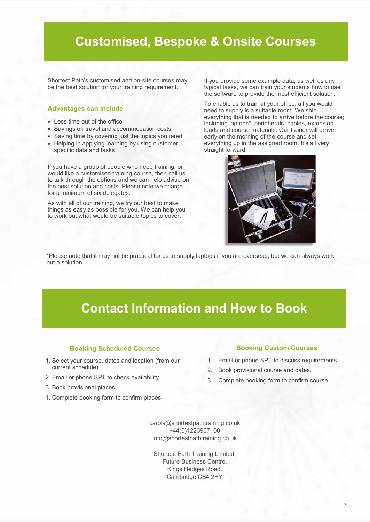## **Customised, Bespoke & Onsite Courses**

Shortest Path's customised and on-site courses may be the best solution for your training requirement.

#### **Advantages can include**

- Less time out of the office
- Savings on travel and accommodation costs
- Saving time by covering just the topics you need
- Helping in applying learning by using customer specific data and tasks

If you have a group of people who need training, or would like a customised training course, then call us to talk through the options and we can help advise on the best solution and costs. Please note we charge for a minimum of six delegates.

As with all of our training, we try our best to make things as easy as possible for you. We can help you to work out what would be suitable topics to cover.

If you provide some example data, as well as any typical tasks, we can train your students how to use the software to provide the most efficient solution.

To enable us to train at your office, all you would need to supply is a suitable room. We ship everything that is needed to arrive before the course; including laptops\*, peripherals, cables, extension leads and course materials. Our trainer will arrive early on the morning of the course and set everything up in the assigned room. It's all very straight forward!



\*Please note that it may not be practical for us to supply laptops if you are overseas, but we can always work out a solution.

## **Contact Information and How to Book**

#### **Booking Scheduled Courses**

- 1. Select your course, dates and location (from our current schedule).
- 2. Email or phone SPT to check availability.
- 3. Book provisional places.
- 4. Complete booking form to confirm places.

### **Booking Custom Courses**

- 1. Email or phone SPT to discuss requirements.
- 2. Book provisional course and dates.
- 3. Complete booking form to confirm course.

carols@shortestpathtraining.co.uk +44(0)1223967100 info@shortestpathtraining.co.uk

Shortest Path Training Limited, Future Business Centre, Kings Hedges Road. Cambridge CB4 2HY